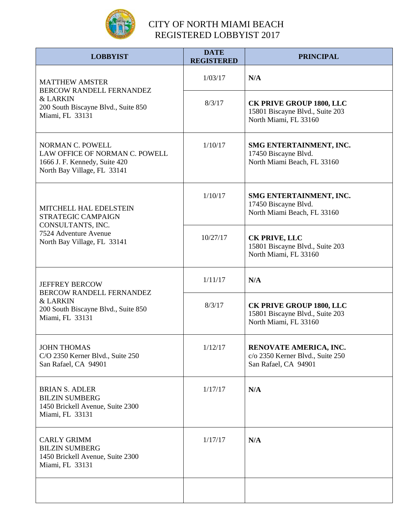

| <b>LOBBYIST</b>                                                                                                                    | <b>DATE</b><br><b>REGISTERED</b> | <b>PRINCIPAL</b>                                                                            |
|------------------------------------------------------------------------------------------------------------------------------------|----------------------------------|---------------------------------------------------------------------------------------------|
| <b>MATTHEW AMSTER</b><br>BERCOW RANDELL FERNANDEZ<br><b>&amp; LARKIN</b><br>200 South Biscayne Blvd., Suite 850<br>Miami, FL 33131 | 1/03/17                          | N/A                                                                                         |
|                                                                                                                                    | 8/3/17                           | <b>CK PRIVE GROUP 1800, LLC</b><br>15801 Biscayne Blvd., Suite 203<br>North Miami, FL 33160 |
| <b>NORMAN C. POWELL</b><br>LAW OFFICE OF NORMAN C. POWELL<br>1666 J. F. Kennedy, Suite 420<br>North Bay Village, FL 33141          | 1/10/17                          | SMG ENTERTAINMENT, INC.<br>17450 Biscayne Blvd.<br>North Miami Beach, FL 33160              |
| <b>MITCHELL HAL EDELSTEIN</b><br>STRATEGIC CAMPAIGN<br>CONSULTANTS, INC.<br>7524 Adventure Avenue<br>North Bay Village, FL 33141   | 1/10/17                          | SMG ENTERTAINMENT, INC.<br>17450 Biscayne Blvd.<br>North Miami Beach, FL 33160              |
|                                                                                                                                    | 10/27/17                         | <b>CK PRIVE, LLC</b><br>15801 Biscayne Blvd., Suite 203<br>North Miami, FL 33160            |
| <b>JEFFREY BERCOW</b><br>BERCOW RANDELL FERNANDEZ<br><b>&amp; LARKIN</b><br>200 South Biscayne Blvd., Suite 850<br>Miami, FL 33131 | 1/11/17                          | N/A                                                                                         |
|                                                                                                                                    | 8/3/17                           | <b>CK PRIVE GROUP 1800, LLC</b><br>15801 Biscayne Blvd., Suite 203<br>North Miami, FL 33160 |
| <b>JOHN THOMAS</b><br>C/O 2350 Kerner Blvd., Suite 250<br>San Rafael, CA 94901                                                     | 1/12/17                          | RENOVATE AMERICA, INC.<br>c/o 2350 Kerner Blvd., Suite 250<br>San Rafael, CA 94901          |
| <b>BRIAN S. ADLER</b><br><b>BILZIN SUMBERG</b><br>1450 Brickell Avenue, Suite 2300<br>Miami, FL 33131                              | 1/17/17                          | N/A                                                                                         |
| <b>CARLY GRIMM</b><br><b>BILZIN SUMBERG</b><br>1450 Brickell Avenue, Suite 2300<br>Miami, FL 33131                                 | 1/17/17                          | N/A                                                                                         |
|                                                                                                                                    |                                  |                                                                                             |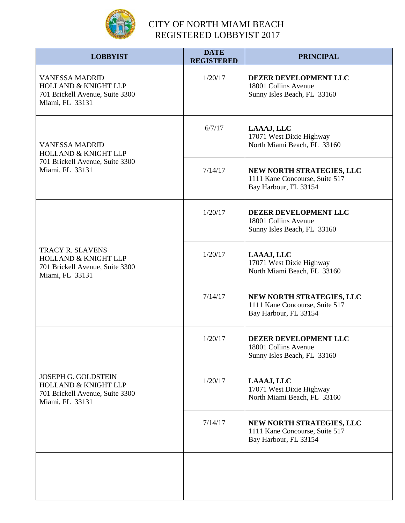

| <b>LOBBYIST</b>                                                                                                     | <b>DATE</b><br><b>REGISTERED</b> | <b>PRINCIPAL</b>                                                                     |
|---------------------------------------------------------------------------------------------------------------------|----------------------------------|--------------------------------------------------------------------------------------|
| <b>VANESSA MADRID</b><br><b>HOLLAND &amp; KNIGHT LLP</b><br>701 Brickell Avenue, Suite 3300<br>Miami, FL 33131      | 1/20/17                          | DEZER DEVELOPMENT LLC<br>18001 Collins Avenue<br>Sunny Isles Beach, FL 33160         |
| <b>VANESSA MADRID</b><br><b>HOLLAND &amp; KNIGHT LLP</b><br>701 Brickell Avenue, Suite 3300<br>Miami, FL 33131      | 6/7/17                           | LAAAJ, LLC<br>17071 West Dixie Highway<br>North Miami Beach, FL 33160                |
|                                                                                                                     | 7/14/17                          | NEW NORTH STRATEGIES, LLC<br>1111 Kane Concourse, Suite 517<br>Bay Harbour, FL 33154 |
| <b>TRACY R. SLAVENS</b><br><b>HOLLAND &amp; KNIGHT LLP</b><br>701 Brickell Avenue, Suite 3300<br>Miami, FL 33131    | 1/20/17                          | DEZER DEVELOPMENT LLC<br>18001 Collins Avenue<br>Sunny Isles Beach, FL 33160         |
|                                                                                                                     | 1/20/17                          | LAAAJ, LLC<br>17071 West Dixie Highway<br>North Miami Beach, FL 33160                |
|                                                                                                                     | 7/14/17                          | NEW NORTH STRATEGIES, LLC<br>1111 Kane Concourse, Suite 517<br>Bay Harbour, FL 33154 |
| <b>JOSEPH G. GOLDSTEIN</b><br><b>HOLLAND &amp; KNIGHT LLP</b><br>701 Brickell Avenue, Suite 3300<br>Miami, FL 33131 | 1/20/17                          | DEZER DEVELOPMENT LLC<br>18001 Collins Avenue<br>Sunny Isles Beach, FL 33160         |
|                                                                                                                     | 1/20/17                          | LAAAJ, LLC<br>17071 West Dixie Highway<br>North Miami Beach, FL 33160                |
|                                                                                                                     | 7/14/17                          | NEW NORTH STRATEGIES, LLC<br>1111 Kane Concourse, Suite 517<br>Bay Harbour, FL 33154 |
|                                                                                                                     |                                  |                                                                                      |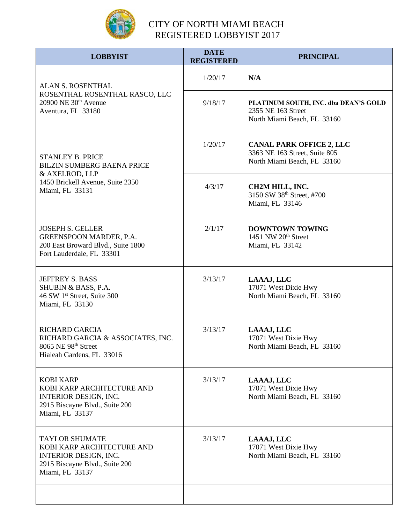

| <b>LOBBYIST</b>                                                                                                                          | <b>DATE</b><br><b>REGISTERED</b> | <b>PRINCIPAL</b>                                                                                |
|------------------------------------------------------------------------------------------------------------------------------------------|----------------------------------|-------------------------------------------------------------------------------------------------|
| ALAN S. ROSENTHAL<br>ROSENTHAL ROSENTHAL RASCO, LLC<br>$20900$ NE $30th$ Avenue<br>Aventura, FL 33180                                    | 1/20/17                          | N/A                                                                                             |
|                                                                                                                                          | 9/18/17                          | PLATINUM SOUTH, INC. dba DEAN'S GOLD<br>2355 NE 163 Street<br>North Miami Beach, FL 33160       |
| <b>STANLEY B. PRICE</b><br><b>BILZIN SUMBERG BAENA PRICE</b><br>& AXELROD, LLP<br>1450 Brickell Avenue, Suite 2350<br>Miami, FL 33131    | 1/20/17                          | <b>CANAL PARK OFFICE 2, LLC</b><br>3363 NE 163 Street, Suite 805<br>North Miami Beach, FL 33160 |
|                                                                                                                                          | 4/3/17                           | CH2M HILL, INC.<br>3150 SW 38th Street, #700<br>Miami, FL 33146                                 |
| <b>JOSEPH S. GELLER</b><br>GREENSPOON MARDER, P.A.<br>200 East Broward Blvd., Suite 1800<br>Fort Lauderdale, FL 33301                    | 2/1/17                           | <b>DOWNTOWN TOWING</b><br>1451 NW 20 <sup>th</sup> Street<br>Miami, FL 33142                    |
| JEFFREY S. BASS<br>SHUBIN & BASS, P.A.<br>46 SW 1st Street, Suite 300<br>Miami, FL 33130                                                 | 3/13/17                          | LAAAJ, LLC<br>17071 West Dixie Hwy<br>North Miami Beach, FL 33160                               |
| <b>RICHARD GARCIA</b><br>RICHARD GARCIA & ASSOCIATES, INC.<br>8065 NE 98th Street<br>Hialeah Gardens, FL 33016                           | 3/13/17                          | LAAAJ, LLC<br>17071 West Dixie Hwy<br>North Miami Beach, FL 33160                               |
| <b>KOBI KARP</b><br>KOBI KARP ARCHITECTURE AND<br><b>INTERIOR DESIGN, INC.</b><br>2915 Biscayne Blvd., Suite 200<br>Miami, FL 33137      | 3/13/17                          | LAAAJ, LLC<br>17071 West Dixie Hwy<br>North Miami Beach, FL 33160                               |
| <b>TAYLOR SHUMATE</b><br>KOBI KARP ARCHITECTURE AND<br><b>INTERIOR DESIGN, INC.</b><br>2915 Biscayne Blvd., Suite 200<br>Miami, FL 33137 | 3/13/17                          | LAAAJ, LLC<br>17071 West Dixie Hwy<br>North Miami Beach, FL 33160                               |
|                                                                                                                                          |                                  |                                                                                                 |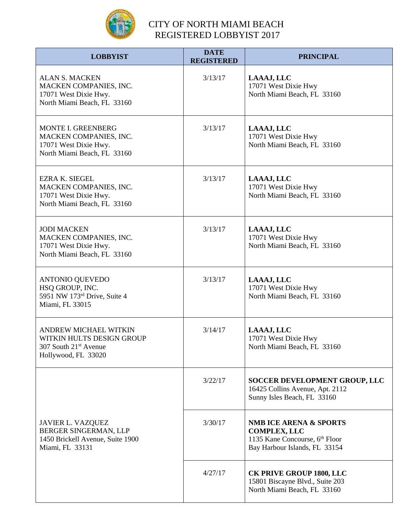

| <b>LOBBYIST</b>                                                                                                       | <b>DATE</b><br><b>REGISTERED</b> | <b>PRINCIPAL</b>                                                                                                                        |
|-----------------------------------------------------------------------------------------------------------------------|----------------------------------|-----------------------------------------------------------------------------------------------------------------------------------------|
| <b>ALAN S. MACKEN</b><br>MACKEN COMPANIES, INC.<br>17071 West Dixie Hwy.<br>North Miami Beach, FL 33160               | 3/13/17                          | LAAAJ, LLC<br>17071 West Dixie Hwy<br>North Miami Beach, FL 33160                                                                       |
| MONTE I. GREENBERG<br>MACKEN COMPANIES, INC.<br>17071 West Dixie Hwy.<br>North Miami Beach, FL 33160                  | 3/13/17                          | LAAAJ, LLC<br>17071 West Dixie Hwy<br>North Miami Beach, FL 33160                                                                       |
| <b>EZRA K. SIEGEL</b><br>MACKEN COMPANIES, INC.<br>17071 West Dixie Hwy.<br>North Miami Beach, FL 33160               | 3/13/17                          | LAAAJ, LLC<br>17071 West Dixie Hwy<br>North Miami Beach, FL 33160                                                                       |
| <b>JODI MACKEN</b><br>MACKEN COMPANIES, INC.<br>17071 West Dixie Hwy.<br>North Miami Beach, FL 33160                  | 3/13/17                          | LAAAJ, LLC<br>17071 West Dixie Hwy<br>North Miami Beach, FL 33160                                                                       |
| <b>ANTONIO QUEVEDO</b><br>HSQ GROUP, INC.<br>5951 NW 173rd Drive, Suite 4<br>Miami, FL 33015                          | 3/13/17                          | LAAAJ, LLC<br>17071 West Dixie Hwy<br>North Miami Beach, FL 33160                                                                       |
| <b>ANDREW MICHAEL WITKIN</b><br>WITKIN HULTS DESIGN GROUP<br>307 South 21 <sup>st</sup> Avenue<br>Hollywood, FL 33020 | 3/14/17                          | LAAAJ, LLC<br>17071 West Dixie Hwy<br>North Miami Beach, FL 33160                                                                       |
|                                                                                                                       | 3/22/17                          | SOCCER DEVELOPMENT GROUP, LLC<br>16425 Collins Avenue, Apt. 2112<br>Sunny Isles Beach, FL 33160                                         |
| <b>JAVIER L. VAZQUEZ</b><br>BERGER SINGERMAN, LLP<br>1450 Brickell Avenue, Suite 1900<br>Miami, FL 33131              | 3/30/17                          | <b>NMB ICE ARENA &amp; SPORTS</b><br><b>COMPLEX, LLC</b><br>1135 Kane Concourse, 6 <sup>th</sup> Floor<br>Bay Harbour Islands, FL 33154 |
|                                                                                                                       | 4/27/17                          | <b>CK PRIVE GROUP 1800, LLC</b><br>15801 Biscayne Blvd., Suite 203<br>North Miami Beach, FL 33160                                       |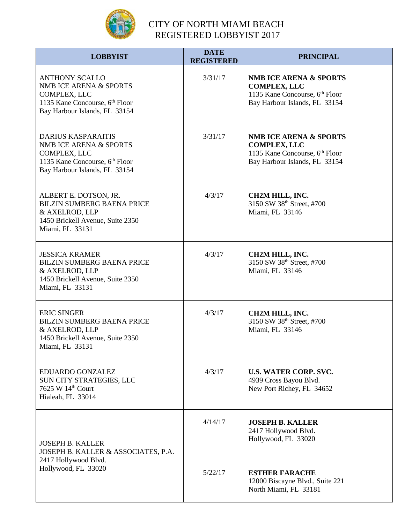

| <b>LOBBYIST</b>                                                                                                                                | <b>DATE</b><br><b>REGISTERED</b> | <b>PRINCIPAL</b>                                                                                                                        |
|------------------------------------------------------------------------------------------------------------------------------------------------|----------------------------------|-----------------------------------------------------------------------------------------------------------------------------------------|
| <b>ANTHONY SCALLO</b><br>NMB ICE ARENA & SPORTS<br>COMPLEX, LLC<br>1135 Kane Concourse, 6 <sup>th</sup> Floor<br>Bay Harbour Islands, FL 33154 | 3/31/17                          | <b>NMB ICE ARENA &amp; SPORTS</b><br><b>COMPLEX, LLC</b><br>1135 Kane Concourse, 6 <sup>th</sup> Floor<br>Bay Harbour Islands, FL 33154 |
| <b>DARIUS KASPARAITIS</b><br>NMB ICE ARENA & SPORTS<br>COMPLEX, LLC<br>1135 Kane Concourse, 6th Floor<br>Bay Harbour Islands, FL 33154         | 3/31/17                          | <b>NMB ICE ARENA &amp; SPORTS</b><br><b>COMPLEX, LLC</b><br>1135 Kane Concourse, 6 <sup>th</sup> Floor<br>Bay Harbour Islands, FL 33154 |
| ALBERT E. DOTSON, JR.<br><b>BILZIN SUMBERG BAENA PRICE</b><br>& AXELROD, LLP<br>1450 Brickell Avenue, Suite 2350<br>Miami, FL 33131            | 4/3/17                           | <b>CH2M HILL, INC.</b><br>3150 SW 38th Street, #700<br>Miami, FL 33146                                                                  |
| <b>JESSICA KRAMER</b><br><b>BILZIN SUMBERG BAENA PRICE</b><br>& AXELROD, LLP<br>1450 Brickell Avenue, Suite 2350<br>Miami, FL 33131            | 4/3/17                           | <b>CH2M HILL, INC.</b><br>3150 SW 38th Street, #700<br>Miami, FL 33146                                                                  |
| <b>ERIC SINGER</b><br><b>BILZIN SUMBERG BAENA PRICE</b><br>& AXELROD, LLP<br>1450 Brickell Avenue, Suite 2350<br>Miami, FL 33131               | 4/3/17                           | CH2M HILL, INC.<br>3150 SW 38th Street, #700<br>Miami, FL 33146                                                                         |
| EDUARDO GONZALEZ<br>SUN CITY STRATEGIES, LLC<br>7625 W 14th Court<br>Hialeah, FL 33014                                                         | 4/3/17                           | <b>U.S. WATER CORP. SVC.</b><br>4939 Cross Bayou Blvd.<br>New Port Richey, FL 34652                                                     |
| <b>JOSEPH B. KALLER</b><br>JOSEPH B. KALLER & ASSOCIATES, P.A.                                                                                 | 4/14/17                          | <b>JOSEPH B. KALLER</b><br>2417 Hollywood Blvd.<br>Hollywood, FL 33020                                                                  |
| 2417 Hollywood Blvd.<br>Hollywood, FL 33020                                                                                                    | 5/22/17                          | <b>ESTHER FARACHE</b><br>12000 Biscayne Blvd., Suite 221<br>North Miami, FL 33181                                                       |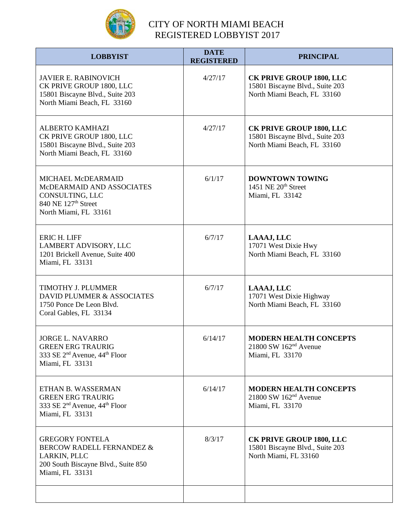

| <b>LOBBYIST</b>                                                                                                                          | <b>DATE</b><br><b>REGISTERED</b> | <b>PRINCIPAL</b>                                                                                  |
|------------------------------------------------------------------------------------------------------------------------------------------|----------------------------------|---------------------------------------------------------------------------------------------------|
| <b>JAVIER E. RABINOVICH</b><br>CK PRIVE GROUP 1800, LLC<br>15801 Biscayne Blvd., Suite 203<br>North Miami Beach, FL 33160                | 4/27/17                          | <b>CK PRIVE GROUP 1800, LLC</b><br>15801 Biscayne Blvd., Suite 203<br>North Miami Beach, FL 33160 |
| <b>ALBERTO KAMHAZI</b><br>CK PRIVE GROUP 1800, LLC<br>15801 Biscayne Blvd., Suite 203<br>North Miami Beach, FL 33160                     | 4/27/17                          | <b>CK PRIVE GROUP 1800, LLC</b><br>15801 Biscayne Blvd., Suite 203<br>North Miami Beach, FL 33160 |
| MICHAEL McDEARMAID<br>McDEARMAID AND ASSOCIATES<br>CONSULTING, LLC<br>840 NE 127 <sup>th</sup> Street<br>North Miami, FL 33161           | 6/1/17                           | <b>DOWNTOWN TOWING</b><br>1451 NE 20 <sup>th</sup> Street<br>Miami, FL 33142                      |
| <b>ERIC H. LIFF</b><br>LAMBERT ADVISORY, LLC<br>1201 Brickell Avenue, Suite 400<br>Miami, FL 33131                                       | 6/7/17                           | LAAAJ, LLC<br>17071 West Dixie Hwy<br>North Miami Beach, FL 33160                                 |
| TIMOTHY J. PLUMMER<br>DAVID PLUMMER & ASSOCIATES<br>1750 Ponce De Leon Blvd.<br>Coral Gables, FL 33134                                   | 6/7/17                           | LAAAJ, LLC<br>17071 West Dixie Highway<br>North Miami Beach, FL 33160                             |
| <b>JORGE L. NAVARRO</b><br><b>GREEN ERG TRAURIG</b><br>333 SE 2 <sup>nd</sup> Avenue, 44 <sup>th</sup> Floor<br>Miami, FL 33131          | 6/14/17                          | <b>MODERN HEALTH CONCEPTS</b><br>$21800$ SW $162nd$ Avenue<br>Miami, FL 33170                     |
| ETHAN B. WASSERMAN<br><b>GREEN ERG TRAURIG</b><br>333 SE 2 <sup>nd</sup> Avenue, 44 <sup>th</sup> Floor<br>Miami, FL 33131               | 6/14/17                          | <b>MODERN HEALTH CONCEPTS</b><br>$21800$ SW $162nd$ Avenue<br>Miami, FL 33170                     |
| <b>GREGORY FONTELA</b><br><b>BERCOW RADELL FERNANDEZ &amp;</b><br>LARKIN, PLLC<br>200 South Biscayne Blvd., Suite 850<br>Miami, FL 33131 | 8/3/17                           | <b>CK PRIVE GROUP 1800, LLC</b><br>15801 Biscayne Blvd., Suite 203<br>North Miami, FL 33160       |
|                                                                                                                                          |                                  |                                                                                                   |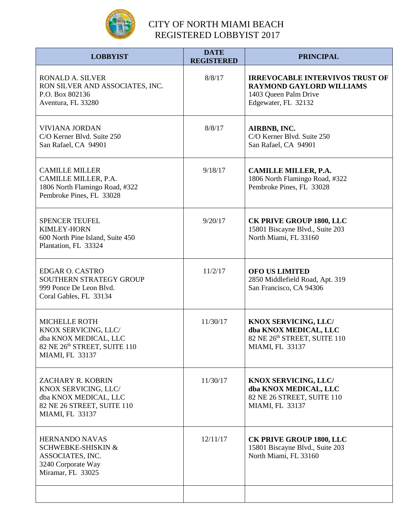

| <b>LOBBYIST</b>                                                                                                          | <b>DATE</b><br><b>REGISTERED</b> | <b>PRINCIPAL</b>                                                                                                          |
|--------------------------------------------------------------------------------------------------------------------------|----------------------------------|---------------------------------------------------------------------------------------------------------------------------|
| <b>RONALD A. SILVER</b><br>RON SILVER AND ASSOCIATES, INC.<br>P.O. Box 802136<br>Aventura, FL 33280                      | 8/8/17                           | <b>IRREVOCABLE INTERVIVOS TRUST OF</b><br><b>RAYMOND GAYLORD WILLIAMS</b><br>1403 Queen Palm Drive<br>Edgewater, FL 32132 |
| <b>VIVIANA JORDAN</b><br>C/O Kerner Blvd. Suite 250<br>San Rafael, CA 94901                                              | 8/8/17                           | AIRBNB, INC.<br>C/O Kerner Blvd. Suite 250<br>San Rafael, CA 94901                                                        |
| <b>CAMILLE MILLER</b><br>CAMILLE MILLER, P.A.<br>1806 North Flamingo Road, #322<br>Pembroke Pines, FL 33028              | 9/18/17                          | <b>CAMILLE MILLER, P.A.</b><br>1806 North Flamingo Road, #322<br>Pembroke Pines, FL 33028                                 |
| <b>SPENCER TEUFEL</b><br><b>KIMLEY-HORN</b><br>600 North Pine Island, Suite 450<br>Plantation, FL 33324                  | 9/20/17                          | <b>CK PRIVE GROUP 1800, LLC</b><br>15801 Biscayne Blvd., Suite 203<br>North Miami, FL 33160                               |
| <b>EDGAR O. CASTRO</b><br>SOUTHERN STRATEGY GROUP<br>999 Ponce De Leon Blvd.<br>Coral Gables, FL 33134                   | 11/2/17                          | <b>OFO US LIMITED</b><br>2850 Middlefield Road, Apt. 319<br>San Francisco, CA 94306                                       |
| <b>MICHELLE ROTH</b><br>KNOX SERVICING, LLC/<br>dba KNOX MEDICAL, LLC<br>82 NE 26th STREET, SUITE 110<br>MIAMI, FL 33137 | 11/30/17                         | KNOX SERVICING, LLC/<br>dba KNOX MEDICAL, LLC<br>82 NE 26th STREET, SUITE 110<br>MIAMI, FL 33137                          |
| ZACHARY R. KOBRIN<br>KNOX SERVICING, LLC/<br>dba KNOX MEDICAL, LLC<br>82 NE 26 STREET, SUITE 110<br>MIAMI, FL 33137      | 11/30/17                         | <b>KNOX SERVICING, LLC/</b><br>dba KNOX MEDICAL, LLC<br>82 NE 26 STREET, SUITE 110<br>MIAMI, FL 33137                     |
| <b>HERNANDO NAVAS</b><br><b>SCHWEBKE-SHISKIN &amp;</b><br>ASSOCIATES, INC.<br>3240 Corporate Way<br>Miramar, FL 33025    | 12/11/17                         | <b>CK PRIVE GROUP 1800, LLC</b><br>15801 Biscayne Blvd., Suite 203<br>North Miami, FL 33160                               |
|                                                                                                                          |                                  |                                                                                                                           |